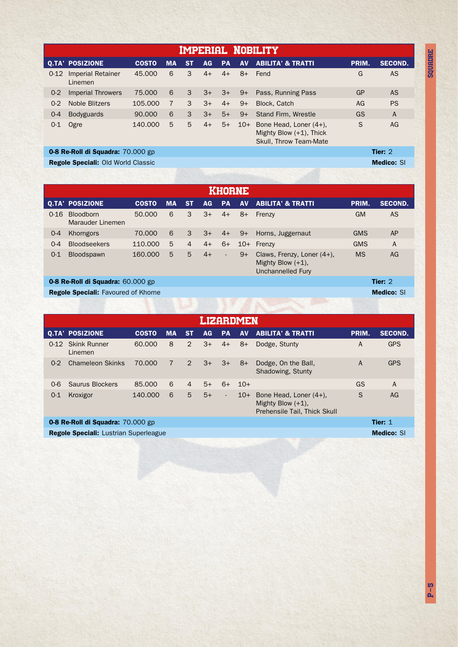Imperial Nobility 0-12 Imperial Retainer Q.TA' POSIZIONE COSTO MA ST AG PA AV ABILITA' & TRATTI PRIM. SECOND. Linemen Fend Gallery Control Control Control Control Control Control Control Control Control Control Control Control Co GP GS AG AS AS A PS Pass, Running Pass Stand Firm, Wrestle Block, Catch 45.000 6 6 6 7 3 3 3 3 4+  $3+$ 3+ 3+ 4+  $3+$ 5+ 4+ 8+  $9+$ 9+ 9+ 75.000 90.000 105.000 0-2 Imperial Throwers 0-4 Bodyguards 0-2 Noble Blitzers 10+ Bone Head, Loner (4+), S AG Mighty Blow (+1), Thick Skull, Throw Team-Mate 0-1 Ogre 140.000 5 5 4+ 5+

0-8 Re-Roll di Squadra: 70.000 gp Tier: 2 Regole Speciali: Old World Classic Medico: SI

**SQUADRE** 

| KHORNE                                       |                                      |              |           |    |           |                          |           |                                                                         |            |                   |  |
|----------------------------------------------|--------------------------------------|--------------|-----------|----|-----------|--------------------------|-----------|-------------------------------------------------------------------------|------------|-------------------|--|
|                                              | <b>Q.TA' POSIZIONE</b>               | <b>COSTO</b> | <b>MA</b> | ST | <b>AG</b> | <b>PA</b>                | <b>AV</b> | <b>ABILITA' &amp; TRATTI</b>                                            | PRIM.      | <b>SECOND.</b>    |  |
| $0 - 16$                                     | <b>Bloodborn</b><br>Marauder Linemen | 50.000       | 6         | 3  | $3+$      | $4+$                     | $8+$      | Frenzy                                                                  | <b>GM</b>  | <b>AS</b>         |  |
| $O - 4$                                      | Khorngors                            | 70.000       | 6         | 3  | $3+$      | $4+$                     | $9+$      | Horns, Juggernaut                                                       | <b>GMS</b> | AP                |  |
| $0 - 4$                                      | <b>Bloodseekers</b>                  | 110.000      | 5         | 4  | $4+$      | $6+$                     | $10+$     | Frenzy                                                                  | <b>GMS</b> | $\overline{A}$    |  |
| $0 - 1$                                      | <b>Bloodspawn</b>                    | 160,000      | 5         | 5  | $4+$      | $\overline{\phantom{a}}$ | $9+$      | Claws, Frenzy, Loner (4+),<br>Mighty Blow $(+1)$ ,<br>Unchannelled Fury | <b>MS</b>  | AG                |  |
| Tier: 2<br>0-8 Re-Roll di Squadra: 60.000 gp |                                      |              |           |    |           |                          |           |                                                                         |            |                   |  |
| <b>Regole Speciali:</b> Favoured of Khorne   |                                      |              |           |    |           |                          |           |                                                                         |            | <b>Medico: SI</b> |  |

| LIZARDMEN |                                                                   |              |           |                |      |                          |           |                                                                                |       |                |  |
|-----------|-------------------------------------------------------------------|--------------|-----------|----------------|------|--------------------------|-----------|--------------------------------------------------------------------------------|-------|----------------|--|
|           | <b>Q.TA' POSIZIONE</b>                                            | <b>COSTO</b> | <b>MA</b> | <b>ST</b>      | AG.  | <b>PA</b>                | <b>AV</b> | <b>ABILITA' &amp; TRATTI</b>                                                   | PRIM. | <b>SECOND.</b> |  |
| $0 - 12$  | <b>Skink Runner</b><br>Linemen                                    | 60.000       | 8         | $\mathcal{P}$  | $3+$ | $4+$                     | $8+$      | Dodge, Stunty                                                                  | А     | <b>GPS</b>     |  |
| $0 - 2$   | <b>Chameleon Skinks</b>                                           | 70.000       | 7         | $\overline{2}$ | $3+$ | $3+$                     | $8+$      | Dodge, On the Ball,<br>Shadowing, Stunty                                       | A     | <b>GPS</b>     |  |
| $0 - 6$   | Saurus Blockers                                                   | 85,000       | 6         | $\overline{4}$ | $5+$ | $6+$                     | $10+$     |                                                                                | GS    | A              |  |
| $0 - 1$   | Kroxigor                                                          | 140.000      | 6         | 5              | $5+$ | $\overline{\phantom{a}}$ | $10+$     | Bone Head, Loner (4+),<br>Mighty Blow $(+1)$ ,<br>Prehensile Tail, Thick Skull | S     | AG             |  |
|           | Tier: $1$<br>0-8 Re-Roll di Squadra: 70.000 gp                    |              |           |                |      |                          |           |                                                                                |       |                |  |
|           | <b>Medico: SI</b><br><b>Regole Speciali:</b> Lustrian Superleague |              |           |                |      |                          |           |                                                                                |       |                |  |